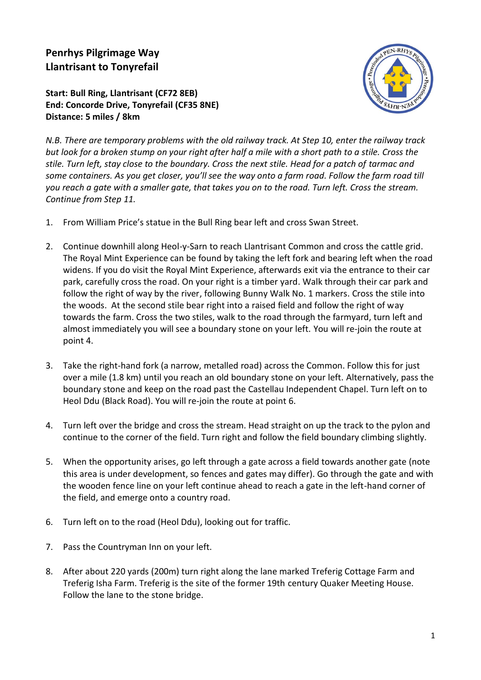## **Penrhys Pilgrimage Way Llantrisant to Tonyrefail**

## **Start: Bull Ring, Llantrisant (CF72 8EB) End: Concorde Drive, Tonyrefail (CF35 8NE) Distance: 5 miles / 8km**



*N.B. There are temporary problems with the old railway track. At Step 10, enter the railway track but look for a broken stump on your right after half a mile with a short path to a stile. Cross the stile. Turn left, stay close to the boundary. Cross the next stile. Head for a patch of tarmac and some containers. As you get closer, you'll see the way onto a farm road. Follow the farm road till you reach a gate with a smaller gate, that takes you on to the road. Turn left. Cross the stream. Continue from Step 11.*

- 1. From William Price's statue in the Bull Ring bear left and cross Swan Street.
- 2. Continue downhill along Heol-y-Sarn to reach Llantrisant Common and cross the cattle grid. The Royal Mint Experience can be found by taking the left fork and bearing left when the road widens. If you do visit the Royal Mint Experience, afterwards exit via the entrance to their car park, carefully cross the road. On your right is a timber yard. Walk through their car park and follow the right of way by the river, following Bunny Walk No. 1 markers. Cross the stile into the woods. At the second stile bear right into a raised field and follow the right of way towards the farm. Cross the two stiles, walk to the road through the farmyard, turn left and almost immediately you will see a boundary stone on your left. You will re-join the route at point 4.
- 3. Take the right-hand fork (a narrow, metalled road) across the Common. Follow this for just over a mile (1.8 km) until you reach an old boundary stone on your left. Alternatively, pass the boundary stone and keep on the road past the Castellau Independent Chapel. Turn left on to Heol Ddu (Black Road). You will re-join the route at point 6.
- 4. Turn left over the bridge and cross the stream. Head straight on up the track to the pylon and continue to the corner of the field. Turn right and follow the field boundary climbing slightly.
- 5. When the opportunity arises, go left through a gate across a field towards another gate (note this area is under development, so fences and gates may differ). Go through the gate and with the wooden fence line on your left continue ahead to reach a gate in the left-hand corner of the field, and emerge onto a country road.
- 6. Turn left on to the road (Heol Ddu), looking out for traffic.
- 7. Pass the Countryman Inn on your left.
- 8. After about 220 yards (200m) turn right along the lane marked Treferig Cottage Farm and Treferig Isha Farm. Treferig is the site of the former 19th century Quaker Meeting House. Follow the lane to the stone bridge.